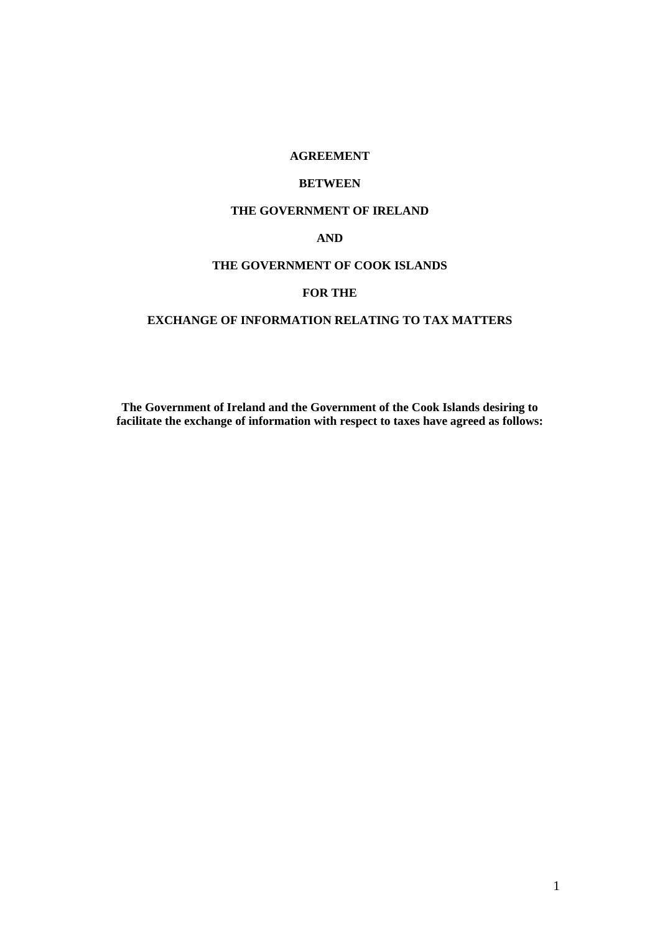### **AGREEMENT**

### **BETWEEN**

### **THE GOVERNMENT OF IRELAND**

# **AND**

## **THE GOVERNMENT OF COOK ISLANDS**

#### **FOR THE**

### **EXCHANGE OF INFORMATION RELATING TO TAX MATTERS**

**The Government of Ireland and the Government of the Cook Islands desiring to facilitate the exchange of information with respect to taxes have agreed as follows:**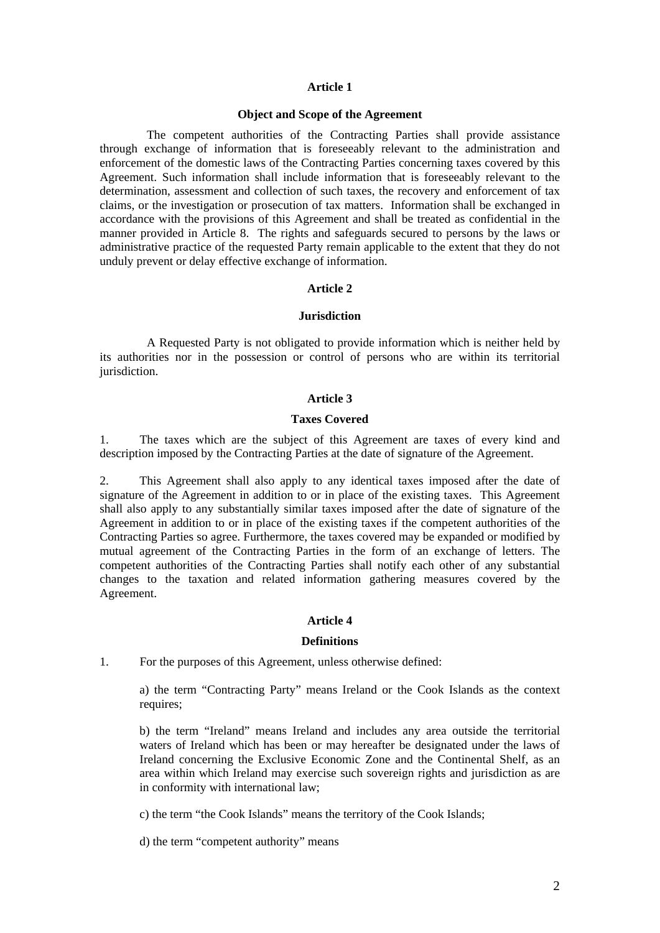#### **Object and Scope of the Agreement**

 The competent authorities of the Contracting Parties shall provide assistance through exchange of information that is foreseeably relevant to the administration and enforcement of the domestic laws of the Contracting Parties concerning taxes covered by this Agreement. Such information shall include information that is foreseeably relevant to the determination, assessment and collection of such taxes, the recovery and enforcement of tax claims, or the investigation or prosecution of tax matters. Information shall be exchanged in accordance with the provisions of this Agreement and shall be treated as confidential in the manner provided in Article 8. The rights and safeguards secured to persons by the laws or administrative practice of the requested Party remain applicable to the extent that they do not unduly prevent or delay effective exchange of information.

#### **Article 2**

#### **Jurisdiction**

 A Requested Party is not obligated to provide information which is neither held by its authorities nor in the possession or control of persons who are within its territorial jurisdiction.

#### **Article 3**

#### **Taxes Covered**

1. The taxes which are the subject of this Agreement are taxes of every kind and description imposed by the Contracting Parties at the date of signature of the Agreement.

2. This Agreement shall also apply to any identical taxes imposed after the date of signature of the Agreement in addition to or in place of the existing taxes. This Agreement shall also apply to any substantially similar taxes imposed after the date of signature of the Agreement in addition to or in place of the existing taxes if the competent authorities of the Contracting Parties so agree. Furthermore, the taxes covered may be expanded or modified by mutual agreement of the Contracting Parties in the form of an exchange of letters. The competent authorities of the Contracting Parties shall notify each other of any substantial changes to the taxation and related information gathering measures covered by the Agreement.

#### **Article 4**

#### **Definitions**

1. For the purposes of this Agreement, unless otherwise defined:

a) the term "Contracting Party" means Ireland or the Cook Islands as the context requires;

b) the term "Ireland" means Ireland and includes any area outside the territorial waters of Ireland which has been or may hereafter be designated under the laws of Ireland concerning the Exclusive Economic Zone and the Continental Shelf, as an area within which Ireland may exercise such sovereign rights and jurisdiction as are in conformity with international law;

c) the term "the Cook Islands" means the territory of the Cook Islands;

d) the term "competent authority" means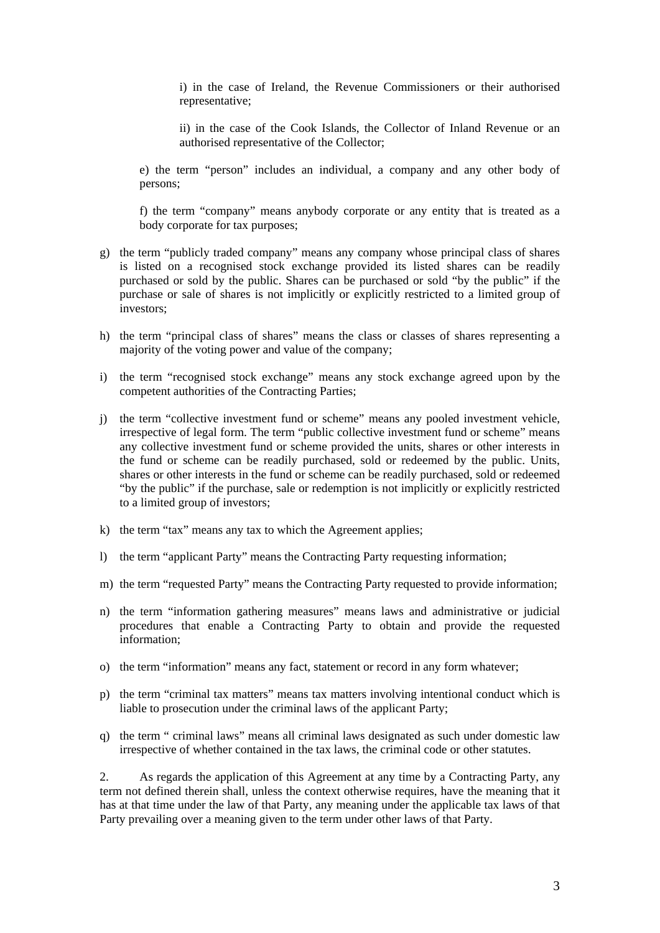i) in the case of Ireland, the Revenue Commissioners or their authorised representative;

 ii) in the case of the Cook Islands, the Collector of Inland Revenue or an authorised representative of the Collector;

e) the term "person" includes an individual, a company and any other body of persons;

f) the term "company" means anybody corporate or any entity that is treated as a body corporate for tax purposes;

- g) the term "publicly traded company" means any company whose principal class of shares is listed on a recognised stock exchange provided its listed shares can be readily purchased or sold by the public. Shares can be purchased or sold "by the public" if the purchase or sale of shares is not implicitly or explicitly restricted to a limited group of investors;
- h) the term "principal class of shares" means the class or classes of shares representing a majority of the voting power and value of the company;
- i) the term "recognised stock exchange" means any stock exchange agreed upon by the competent authorities of the Contracting Parties;
- j) the term "collective investment fund or scheme" means any pooled investment vehicle, irrespective of legal form. The term "public collective investment fund or scheme" means any collective investment fund or scheme provided the units, shares or other interests in the fund or scheme can be readily purchased, sold or redeemed by the public. Units, shares or other interests in the fund or scheme can be readily purchased, sold or redeemed "by the public" if the purchase, sale or redemption is not implicitly or explicitly restricted to a limited group of investors;
- k) the term "tax" means any tax to which the Agreement applies;
- l) the term "applicant Party" means the Contracting Party requesting information;
- m) the term "requested Party" means the Contracting Party requested to provide information;
- n) the term "information gathering measures" means laws and administrative or judicial procedures that enable a Contracting Party to obtain and provide the requested information;
- o) the term "information" means any fact, statement or record in any form whatever;
- p) the term "criminal tax matters" means tax matters involving intentional conduct which is liable to prosecution under the criminal laws of the applicant Party;
- q) the term " criminal laws" means all criminal laws designated as such under domestic law irrespective of whether contained in the tax laws, the criminal code or other statutes.

2. As regards the application of this Agreement at any time by a Contracting Party, any term not defined therein shall, unless the context otherwise requires, have the meaning that it has at that time under the law of that Party, any meaning under the applicable tax laws of that Party prevailing over a meaning given to the term under other laws of that Party.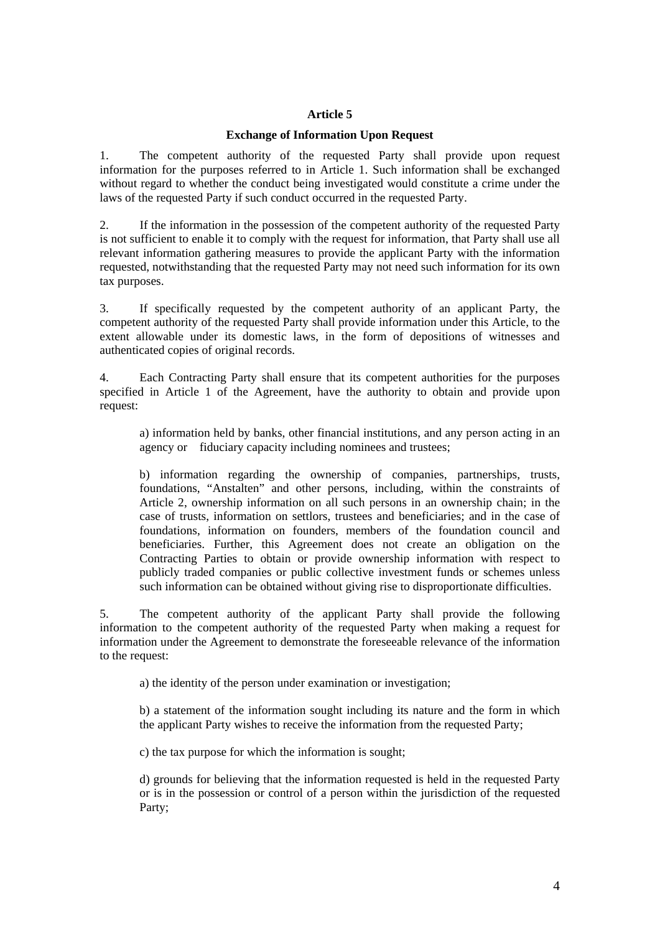### **Exchange of Information Upon Request**

1. The competent authority of the requested Party shall provide upon request information for the purposes referred to in Article 1. Such information shall be exchanged without regard to whether the conduct being investigated would constitute a crime under the laws of the requested Party if such conduct occurred in the requested Party.

2. If the information in the possession of the competent authority of the requested Party is not sufficient to enable it to comply with the request for information, that Party shall use all relevant information gathering measures to provide the applicant Party with the information requested, notwithstanding that the requested Party may not need such information for its own tax purposes.

3. If specifically requested by the competent authority of an applicant Party, the competent authority of the requested Party shall provide information under this Article, to the extent allowable under its domestic laws, in the form of depositions of witnesses and authenticated copies of original records.

4. Each Contracting Party shall ensure that its competent authorities for the purposes specified in Article 1 of the Agreement, have the authority to obtain and provide upon request:

a) information held by banks, other financial institutions, and any person acting in an agency or fiduciary capacity including nominees and trustees;

b) information regarding the ownership of companies, partnerships, trusts, foundations, "Anstalten" and other persons, including, within the constraints of Article 2, ownership information on all such persons in an ownership chain; in the case of trusts, information on settlors, trustees and beneficiaries; and in the case of foundations, information on founders, members of the foundation council and beneficiaries. Further, this Agreement does not create an obligation on the Contracting Parties to obtain or provide ownership information with respect to publicly traded companies or public collective investment funds or schemes unless such information can be obtained without giving rise to disproportionate difficulties.

5. The competent authority of the applicant Party shall provide the following information to the competent authority of the requested Party when making a request for information under the Agreement to demonstrate the foreseeable relevance of the information to the request:

a) the identity of the person under examination or investigation;

b) a statement of the information sought including its nature and the form in which the applicant Party wishes to receive the information from the requested Party;

c) the tax purpose for which the information is sought;

d) grounds for believing that the information requested is held in the requested Party or is in the possession or control of a person within the jurisdiction of the requested Party;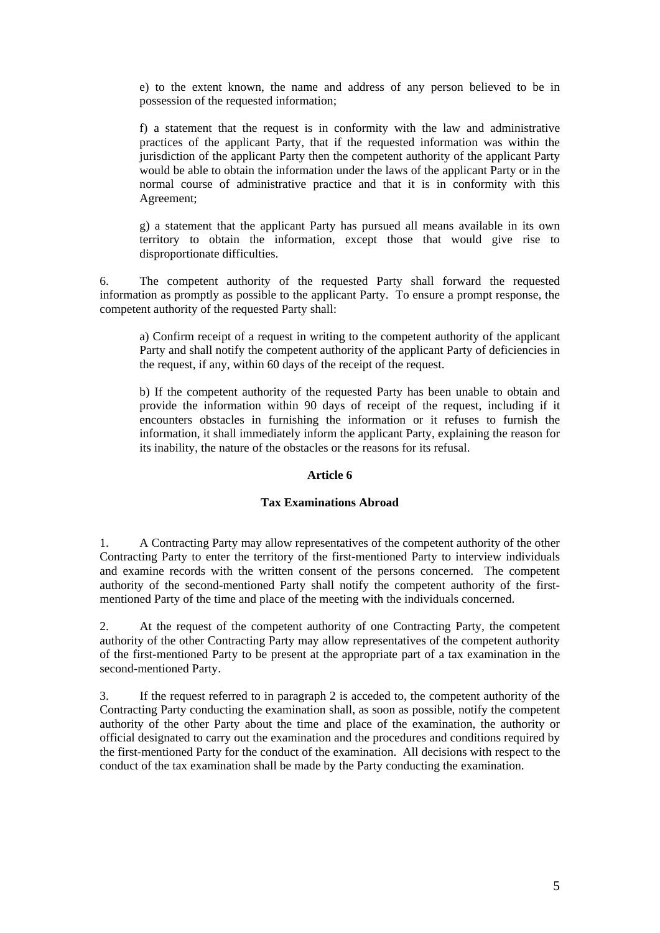e) to the extent known, the name and address of any person believed to be in possession of the requested information;

f) a statement that the request is in conformity with the law and administrative practices of the applicant Party, that if the requested information was within the jurisdiction of the applicant Party then the competent authority of the applicant Party would be able to obtain the information under the laws of the applicant Party or in the normal course of administrative practice and that it is in conformity with this Agreement;

g) a statement that the applicant Party has pursued all means available in its own territory to obtain the information, except those that would give rise to disproportionate difficulties.

6. The competent authority of the requested Party shall forward the requested information as promptly as possible to the applicant Party. To ensure a prompt response, the competent authority of the requested Party shall:

a) Confirm receipt of a request in writing to the competent authority of the applicant Party and shall notify the competent authority of the applicant Party of deficiencies in the request, if any, within 60 days of the receipt of the request.

b) If the competent authority of the requested Party has been unable to obtain and provide the information within 90 days of receipt of the request, including if it encounters obstacles in furnishing the information or it refuses to furnish the information, it shall immediately inform the applicant Party, explaining the reason for its inability, the nature of the obstacles or the reasons for its refusal.

### **Article 6**

#### **Tax Examinations Abroad**

1. A Contracting Party may allow representatives of the competent authority of the other Contracting Party to enter the territory of the first-mentioned Party to interview individuals and examine records with the written consent of the persons concerned. The competent authority of the second-mentioned Party shall notify the competent authority of the firstmentioned Party of the time and place of the meeting with the individuals concerned.

2. At the request of the competent authority of one Contracting Party, the competent authority of the other Contracting Party may allow representatives of the competent authority of the first-mentioned Party to be present at the appropriate part of a tax examination in the second-mentioned Party.

3. If the request referred to in paragraph 2 is acceded to, the competent authority of the Contracting Party conducting the examination shall, as soon as possible, notify the competent authority of the other Party about the time and place of the examination, the authority or official designated to carry out the examination and the procedures and conditions required by the first-mentioned Party for the conduct of the examination. All decisions with respect to the conduct of the tax examination shall be made by the Party conducting the examination.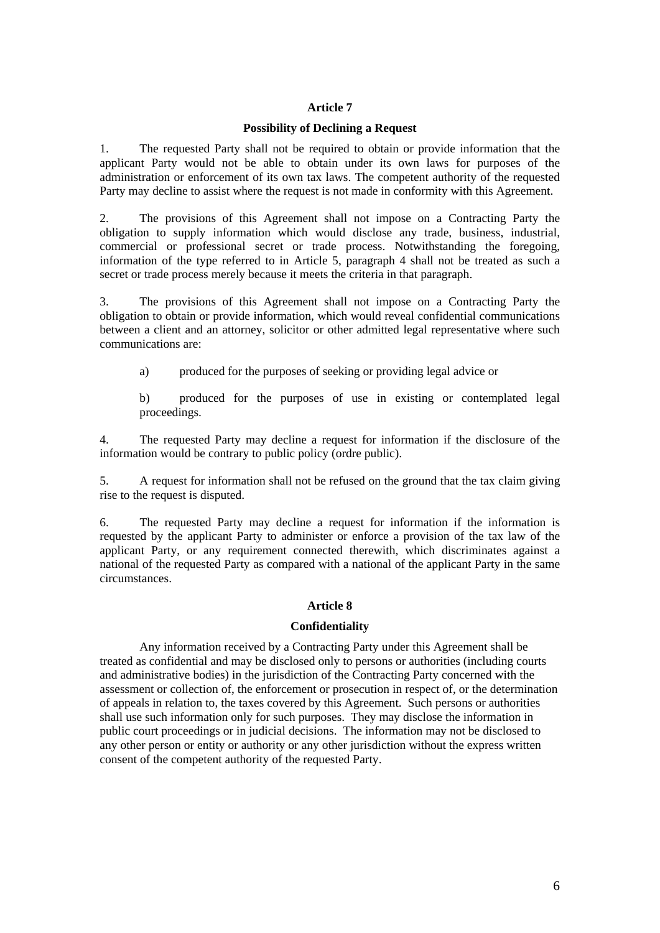## **Possibility of Declining a Request**

1. The requested Party shall not be required to obtain or provide information that the applicant Party would not be able to obtain under its own laws for purposes of the administration or enforcement of its own tax laws. The competent authority of the requested Party may decline to assist where the request is not made in conformity with this Agreement.

2. The provisions of this Agreement shall not impose on a Contracting Party the obligation to supply information which would disclose any trade, business, industrial, commercial or professional secret or trade process. Notwithstanding the foregoing, information of the type referred to in Article 5, paragraph 4 shall not be treated as such a secret or trade process merely because it meets the criteria in that paragraph.

3. The provisions of this Agreement shall not impose on a Contracting Party the obligation to obtain or provide information, which would reveal confidential communications between a client and an attorney, solicitor or other admitted legal representative where such communications are:

a) produced for the purposes of seeking or providing legal advice or

b) produced for the purposes of use in existing or contemplated legal proceedings.

4. The requested Party may decline a request for information if the disclosure of the information would be contrary to public policy (ordre public).

5. A request for information shall not be refused on the ground that the tax claim giving rise to the request is disputed.

6. The requested Party may decline a request for information if the information is requested by the applicant Party to administer or enforce a provision of the tax law of the applicant Party, or any requirement connected therewith, which discriminates against a national of the requested Party as compared with a national of the applicant Party in the same circumstances.

### **Article 8**

### **Confidentiality**

 Any information received by a Contracting Party under this Agreement shall be treated as confidential and may be disclosed only to persons or authorities (including courts and administrative bodies) in the jurisdiction of the Contracting Party concerned with the assessment or collection of, the enforcement or prosecution in respect of, or the determination of appeals in relation to, the taxes covered by this Agreement. Such persons or authorities shall use such information only for such purposes. They may disclose the information in public court proceedings or in judicial decisions. The information may not be disclosed to any other person or entity or authority or any other jurisdiction without the express written consent of the competent authority of the requested Party.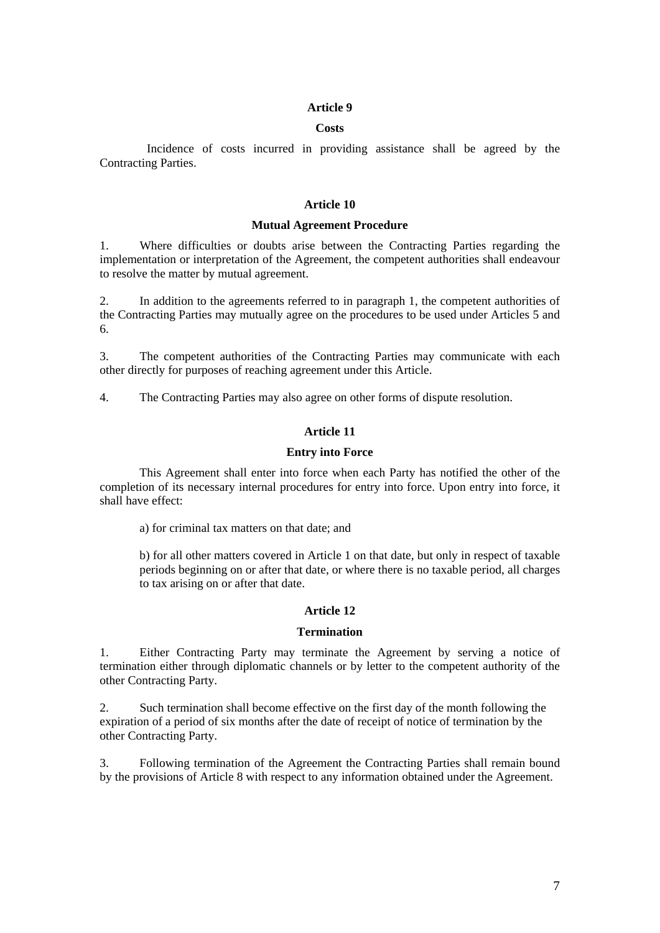### **Costs**

 Incidence of costs incurred in providing assistance shall be agreed by the Contracting Parties.

### **Article 10**

#### **Mutual Agreement Procedure**

1. Where difficulties or doubts arise between the Contracting Parties regarding the implementation or interpretation of the Agreement, the competent authorities shall endeavour to resolve the matter by mutual agreement.

2. In addition to the agreements referred to in paragraph 1, the competent authorities of the Contracting Parties may mutually agree on the procedures to be used under Articles 5 and 6.

3. The competent authorities of the Contracting Parties may communicate with each other directly for purposes of reaching agreement under this Article.

4. The Contracting Parties may also agree on other forms of dispute resolution.

## **Article 11**

#### **Entry into Force**

 This Agreement shall enter into force when each Party has notified the other of the completion of its necessary internal procedures for entry into force. Upon entry into force, it shall have effect:

a) for criminal tax matters on that date; and

b) for all other matters covered in Article 1 on that date, but only in respect of taxable periods beginning on or after that date, or where there is no taxable period, all charges to tax arising on or after that date.

#### **Article 12**

#### **Termination**

1. Either Contracting Party may terminate the Agreement by serving a notice of termination either through diplomatic channels or by letter to the competent authority of the other Contracting Party.

2. Such termination shall become effective on the first day of the month following the expiration of a period of six months after the date of receipt of notice of termination by the other Contracting Party.

3. Following termination of the Agreement the Contracting Parties shall remain bound by the provisions of Article 8 with respect to any information obtained under the Agreement.